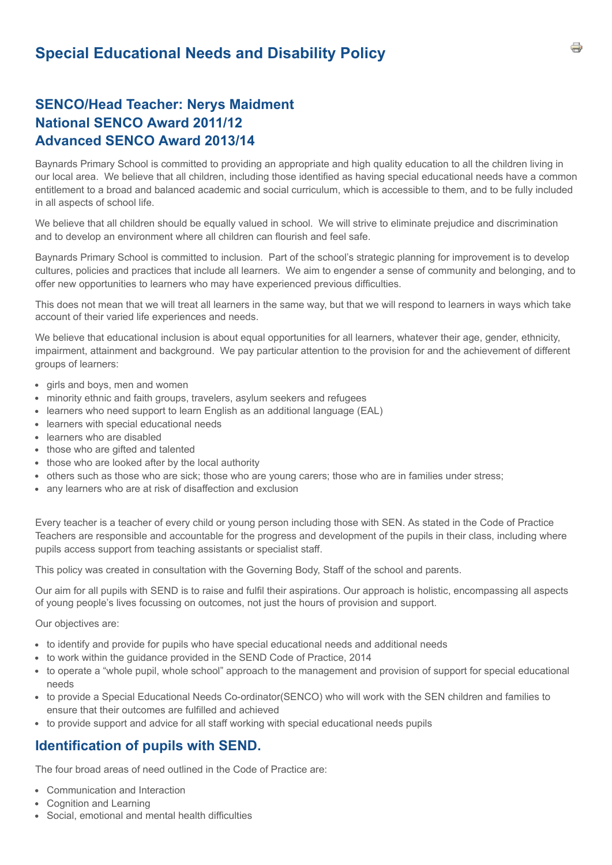# **SENCO/Head Teacher: Nerys Maidment National SENCO Award 2011/12 Advanced SENCO Award 2013/14**

Baynards Primary School is committed to providing an appropriate and high quality education to all the children living in our local area. We believe that all children, including those identified as having special educational needs have a common entitlement to a broad and balanced academic and social curriculum, which is accessible to them, and to be fully included in all aspects of school life.

We believe that all children should be equally valued in school. We will strive to eliminate prejudice and discrimination and to develop an environment where all children can flourish and feel safe.

Baynards Primary School is committed to inclusion. Part of the school's strategic planning for improvement is to develop cultures, policies and practices that include all learners. We aim to engender a sense of community and belonging, and to offer new opportunities to learners who may have experienced previous difficulties.

This does not mean that we will treat all learners in the same way, but that we will respond to learners in ways which take account of their varied life experiences and needs.

We believe that educational inclusion is about equal opportunities for all learners, whatever their age, gender, ethnicity, impairment, attainment and background. We pay particular attention to the provision for and the achievement of different groups of learners:

- girls and boys, men and women
- minority ethnic and faith groups, travelers, asylum seekers and refugees
- learners who need support to learn English as an additional language (EAL)
- learners with special educational needs
- learners who are disabled
- those who are gifted and talented
- those who are looked after by the local authority
- others such as those who are sick; those who are young carers; those who are in families under stress;
- any learners who are at risk of disaffection and exclusion

Every teacher is a teacher of every child or young person including those with SEN. As stated in the Code of Practice Teachers are responsible and accountable for the progress and development of the pupils in their class, including where pupils access support from teaching assistants or specialist staff.

This policy was created in consultation with the Governing Body, Staff of the school and parents.

Our aim for all pupils with SEND is to raise and fulfil their aspirations. Our approach is holistic, encompassing all aspects of young people's lives focussing on outcomes, not just the hours of provision and support.

Our objectives are:

- to identify and provide for pupils who have special educational needs and additional needs
- to work within the guidance provided in the SEND Code of Practice, 2014
- to operate a "whole pupil, whole school" approach to the management and provision of support for special educational needs
- to provide a Special Educational Needs Co-ordinator(SENCO) who will work with the SEN children and families to ensure that their outcomes are fulfilled and achieved
- to provide support and advice for all staff working with special educational needs pupils

# **Identification of pupils with SEND.**

The four broad areas of need outlined in the Code of Practice are:

- Communication and Interaction
- Cognition and Learning
- Social, emotional and mental health difficulties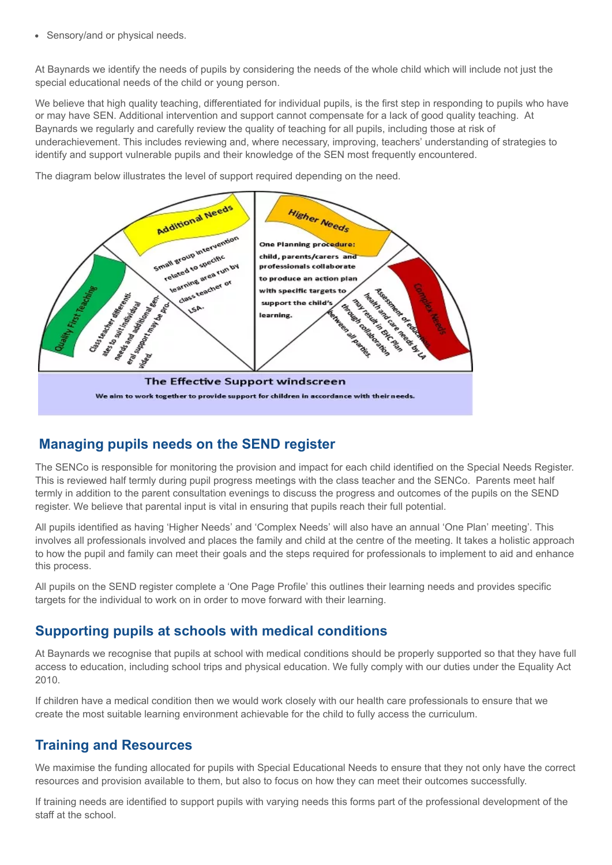• Sensory/and or physical needs.

At Baynards we identify the needs of pupils by considering the needs of the whole child which will include not just the special educational needs of the child or young person.

We believe that high quality teaching, differentiated for individual pupils, is the first step in responding to pupils who have or may have SEN. Additional intervention and support cannot compensate for a lack of good quality teaching. At Baynards we regularly and carefully review the quality of teaching for all pupils, including those at risk of underachievement. This includes reviewing and, where necessary, improving, teachers' understanding of strategies to identify and support vulnerable pupils and their knowledge of the SEN most frequently encountered.

The diagram below illustrates the level of support required depending on the need.



# **Managing pupils needs on the SEND register**

The SENCo is responsible for monitoring the provision and impact for each child identified on the Special Needs Register. This is reviewed half termly during pupil progress meetings with the class teacher and the SENCo. Parents meet half termly in addition to the parent consultation evenings to discuss the progress and outcomes of the pupils on the SEND register. We believe that parental input is vital in ensuring that pupils reach their full potential.

All pupils identified as having 'Higher Needs' and 'Complex Needs' will also have an annual 'One Plan' meeting'. This involves all professionals involved and places the family and child at the centre of the meeting. It takes a holistic approach to how the pupil and family can meet their goals and the steps required for professionals to implement to aid and enhance this process.

All pupils on the SEND register complete a 'One Page Profile' this outlines their learning needs and provides specific targets for the individual to work on in order to move forward with their learning.

### **Supporting pupils at schools with medical conditions**

At Baynards we recognise that pupils at school with medical conditions should be properly supported so that they have full access to education, including school trips and physical education. We fully comply with our duties under the Equality Act 2010.

If children have a medical condition then we would work closely with our health care professionals to ensure that we create the most suitable learning environment achievable for the child to fully access the curriculum.

### **Training and Resources**

We maximise the funding allocated for pupils with Special Educational Needs to ensure that they not only have the correct resources and provision available to them, but also to focus on how they can meet their outcomes successfully.

If training needs are identified to support pupils with varying needs this forms part of the professional development of the staff at the school.